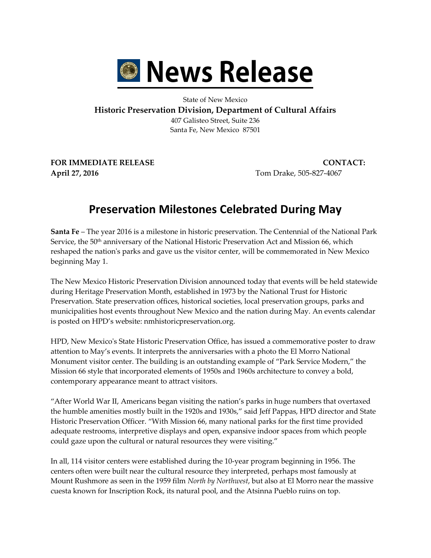

## State of New Mexico **Historic Preservation Division, Department of Cultural Affairs** 407 Galisteo Street, Suite 236 Santa Fe, New Mexico 87501

**FOR IMMEDIATE RELEASE CONTACT: April 27, 2016** Tom Drake, 505-827-4067

## **Preservation Milestones Celebrated During May**

**Santa Fe** – The year 2016 is a milestone in historic preservation. The Centennial of the National Park Service, the 50<sup>th</sup> anniversary of the National Historic Preservation Act and Mission 66, which reshaped the nation's parks and gave us the visitor center, will be commemorated in New Mexico beginning May 1.

The New Mexico Historic Preservation Division announced today that events will be held statewide during Heritage Preservation Month, established in 1973 by the National Trust for Historic Preservation. State preservation offices, historical societies, local preservation groups, parks and municipalities host events throughout New Mexico and the nation during May. An events calendar is posted on HPD's website: nmhistoricpreservation.org.

HPD, New Mexico's State Historic Preservation Office, has issued a commemorative poster to draw attention to May's events. It interprets the anniversaries with a photo the El Morro National Monument visitor center. The building is an outstanding example of "Park Service Modern," the Mission 66 style that incorporated elements of 1950s and 1960s architecture to convey a bold, contemporary appearance meant to attract visitors.

"After World War II, Americans began visiting the nation's parks in huge numbers that overtaxed the humble amenities mostly built in the 1920s and 1930s," said Jeff Pappas, HPD director and State Historic Preservation Officer. "With Mission 66, many national parks for the first time provided adequate restrooms, interpretive displays and open, expansive indoor spaces from which people could gaze upon the cultural or natural resources they were visiting."

In all, 114 visitor centers were established during the 10-year program beginning in 1956. The centers often were built near the cultural resource they interpreted, perhaps most famously at Mount Rushmore as seen in the 1959 film *North by Northwest*, but also at El Morro near the massive cuesta known for Inscription Rock, its natural pool, and the Atsinna Pueblo ruins on top.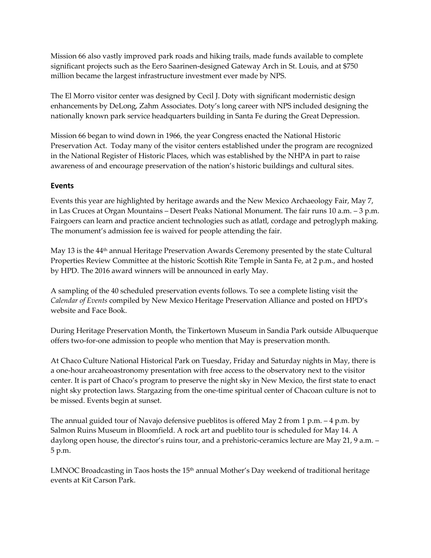Mission 66 also vastly improved park roads and hiking trails, made funds available to complete significant projects such as the Eero Saarinen-designed Gateway Arch in St. Louis, and at \$750 million became the largest infrastructure investment ever made by NPS.

The El Morro visitor center was designed by Cecil J. Doty with significant modernistic design enhancements by DeLong, Zahm Associates. Doty's long career with NPS included designing the nationally known park service headquarters building in Santa Fe during the Great Depression.

Mission 66 began to wind down in 1966, the year Congress enacted the National Historic Preservation Act. Today many of the visitor centers established under the program are recognized in the National Register of Historic Places, which was established by the NHPA in part to raise awareness of and encourage preservation of the nation's historic buildings and cultural sites.

## **Events**

Events this year are highlighted by heritage awards and the New Mexico Archaeology Fair, May 7, in Las Cruces at Organ Mountains – Desert Peaks National Monument. The fair runs 10 a.m. – 3 p.m. Fairgoers can learn and practice ancient technologies such as atlatl, cordage and petroglyph making. The monument's admission fee is waived for people attending the fair.

May 13 is the 44<sup>th</sup> annual Heritage Preservation Awards Ceremony presented by the state Cultural Properties Review Committee at the historic Scottish Rite Temple in Santa Fe, at 2 p.m., and hosted by HPD. The 2016 award winners will be announced in early May.

A sampling of the 40 scheduled preservation events follows. To see a complete listing visit the *Calendar of Events* compiled by New Mexico Heritage Preservation Alliance and posted on HPD's website and Face Book.

During Heritage Preservation Month, the Tinkertown Museum in Sandia Park outside Albuquerque offers two-for-one admission to people who mention that May is preservation month.

At Chaco Culture National Historical Park on Tuesday, Friday and Saturday nights in May, there is a one-hour arcaheoastronomy presentation with free access to the observatory next to the visitor center. It is part of Chaco's program to preserve the night sky in New Mexico, the first state to enact night sky protection laws. Stargazing from the one-time spiritual center of Chacoan culture is not to be missed. Events begin at sunset.

The annual guided tour of Navajo defensive pueblitos is offered May 2 from 1 p.m.  $-4$  p.m. by Salmon Ruins Museum in Bloomfield. A rock art and pueblito tour is scheduled for May 14. A daylong open house, the director's ruins tour, and a prehistoric-ceramics lecture are May 21, 9 a.m. – 5 p.m.

LMNOC Broadcasting in Taos hosts the  $15<sup>th</sup>$  annual Mother's Day weekend of traditional heritage events at Kit Carson Park.